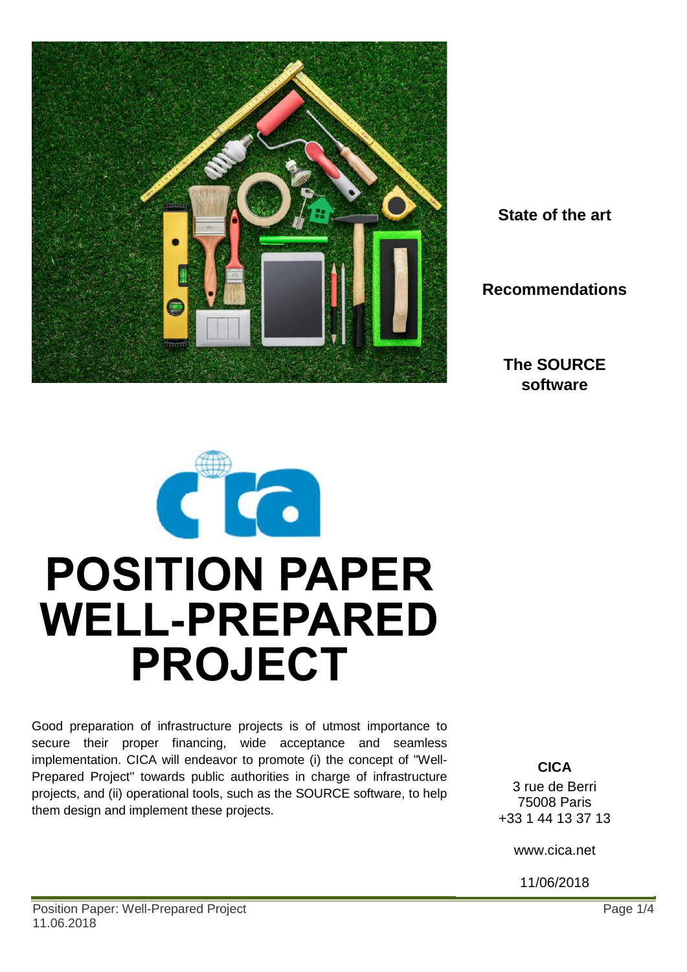

**State of the art**

**Recommendations**

**The SOURCE software**



Good preparation of infrastructure projects is of utmost importance to secure their proper financing, wide acceptance and seamless implementation. CICA will endeavor to promote (i) the concept of "Well-Prepared Project" towards public authorities in charge of infrastructure projects, and (ii) operational tools, such as the SOURCE software, to help them design and implement these projects.

**CICA** 3 rue de Berri 75008 Paris +33 1 44 13 37 13

www.cica.net

11/06/2018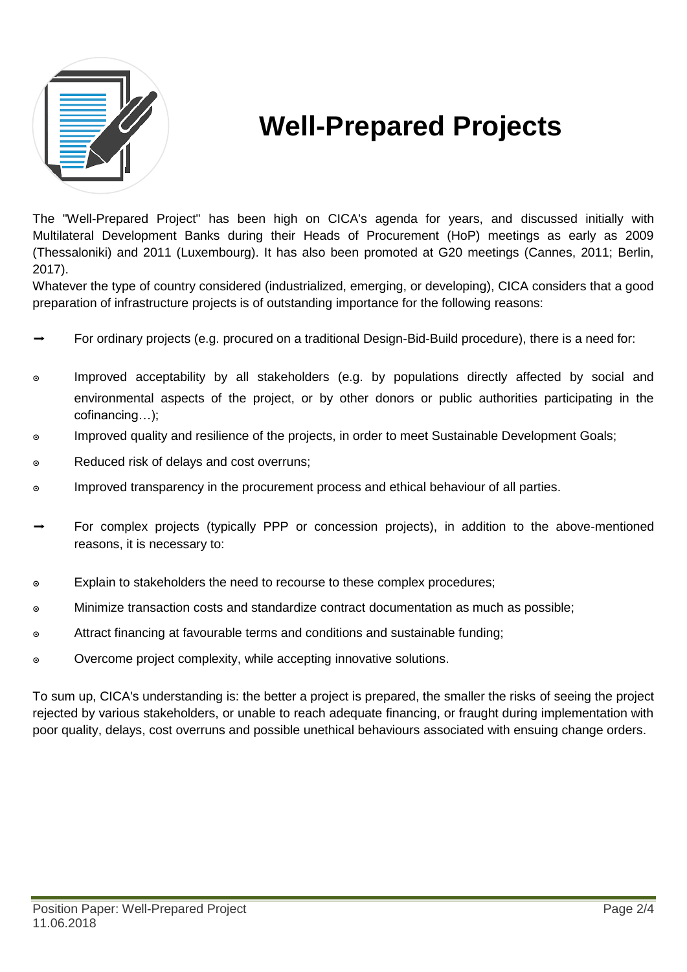

# **Well-Prepared Projects**

The "Well-Prepared Project" has been high on CICA's agenda for years, and discussed initially with Multilateral Development Banks during their Heads of Procurement (HoP) meetings as early as 2009 (Thessaloniki) and 2011 (Luxembourg). It has also been promoted at G20 meetings (Cannes, 2011; Berlin, 2017).

Whatever the type of country considered (industrialized, emerging, or developing), CICA considers that a good preparation of infrastructure projects is of outstanding importance for the following reasons:

- ➡ For ordinary projects (e.g. procured on a traditional Design-Bid-Build procedure), there is a need for:
- ๏ Improved acceptability by all stakeholders (e.g. by populations directly affected by social and environmental aspects of the project, or by other donors or public authorities participating in the cofinancing…);
- ๏ Improved quality and resilience of the projects, in order to meet Sustainable Development Goals;
- ๏ Reduced risk of delays and cost overruns;
- o Improved transparency in the procurement process and ethical behaviour of all parties.
- ➡ For complex projects (typically PPP or concession projects), in addition to the above-mentioned reasons, it is necessary to:
- ๏ Explain to stakeholders the need to recourse to these complex procedures;
- ๏ Minimize transaction costs and standardize contract documentation as much as possible;
- ๏ Attract financing at favourable terms and conditions and sustainable funding;
- ๏ Overcome project complexity, while accepting innovative solutions.

To sum up, CICA's understanding is: the better a project is prepared, the smaller the risks of seeing the project rejected by various stakeholders, or unable to reach adequate financing, or fraught during implementation with poor quality, delays, cost overruns and possible unethical behaviours associated with ensuing change orders.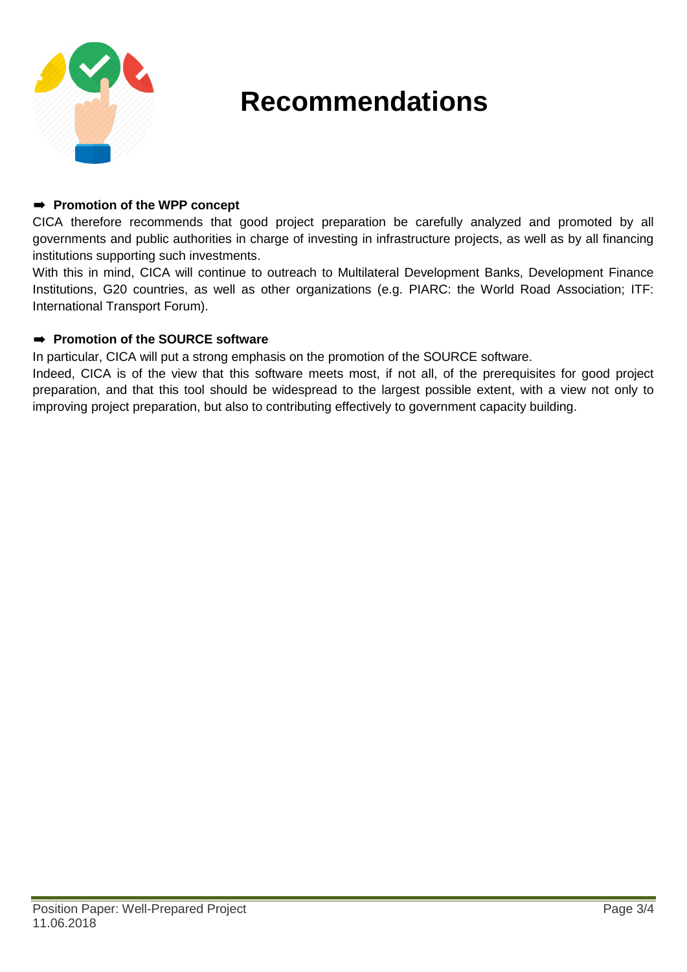

## **Recommendations**

#### ➡ **Promotion of the WPP concept**

CICA therefore recommends that good project preparation be carefully analyzed and promoted by all governments and public authorities in charge of investing in infrastructure projects, as well as by all financing institutions supporting such investments.

With this in mind, CICA will continue to outreach to Multilateral Development Banks, Development Finance Institutions, G20 countries, as well as other organizations (e.g. PIARC: the World Road Association; ITF: International Transport Forum).

#### ➡ **Promotion of the SOURCE software**

In particular, CICA will put a strong emphasis on the promotion of the SOURCE software.

Indeed, CICA is of the view that this software meets most, if not all, of the prerequisites for good project preparation, and that this tool should be widespread to the largest possible extent, with a view not only to improving project preparation, but also to contributing effectively to government capacity building.